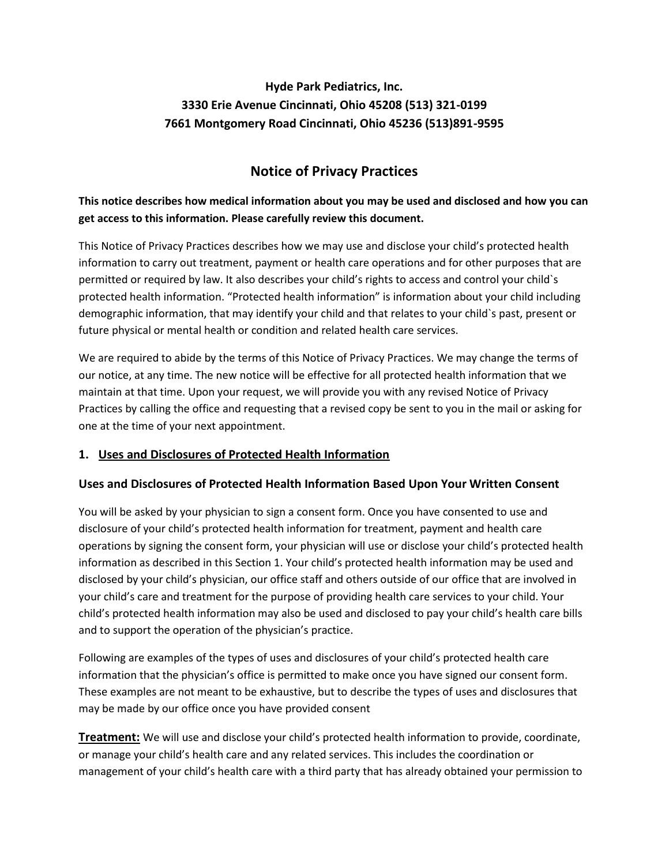## **Hyde Park Pediatrics, Inc. 3330 Erie Avenue Cincinnati, Ohio 45208 (513) 321-0199 7661 Montgomery Road Cincinnati, Ohio 45236 (513)891-9595**

# **Notice of Privacy Practices**

### **This notice describes how medical information about you may be used and disclosed and how you can get access to this information. Please carefully review this document.**

This Notice of Privacy Practices describes how we may use and disclose your child's protected health information to carry out treatment, payment or health care operations and for other purposes that are permitted or required by law. It also describes your child's rights to access and control your child`s protected health information. "Protected health information" is information about your child including demographic information, that may identify your child and that relates to your child`s past, present or future physical or mental health or condition and related health care services.

We are required to abide by the terms of this Notice of Privacy Practices. We may change the terms of our notice, at any time. The new notice will be effective for all protected health information that we maintain at that time. Upon your request, we will provide you with any revised Notice of Privacy Practices by calling the office and requesting that a revised copy be sent to you in the mail or asking for one at the time of your next appointment.

### **1. Uses and Disclosures of Protected Health Information**

### **Uses and Disclosures of Protected Health Information Based Upon Your Written Consent**

You will be asked by your physician to sign a consent form. Once you have consented to use and disclosure of your child's protected health information for treatment, payment and health care operations by signing the consent form, your physician will use or disclose your child's protected health information as described in this Section 1. Your child's protected health information may be used and disclosed by your child's physician, our office staff and others outside of our office that are involved in your child's care and treatment for the purpose of providing health care services to your child. Your child's protected health information may also be used and disclosed to pay your child's health care bills and to support the operation of the physician's practice.

Following are examples of the types of uses and disclosures of your child's protected health care information that the physician's office is permitted to make once you have signed our consent form. These examples are not meant to be exhaustive, but to describe the types of uses and disclosures that may be made by our office once you have provided consent

**Treatment:** We will use and disclose your child's protected health information to provide, coordinate, or manage your child's health care and any related services. This includes the coordination or management of your child's health care with a third party that has already obtained your permission to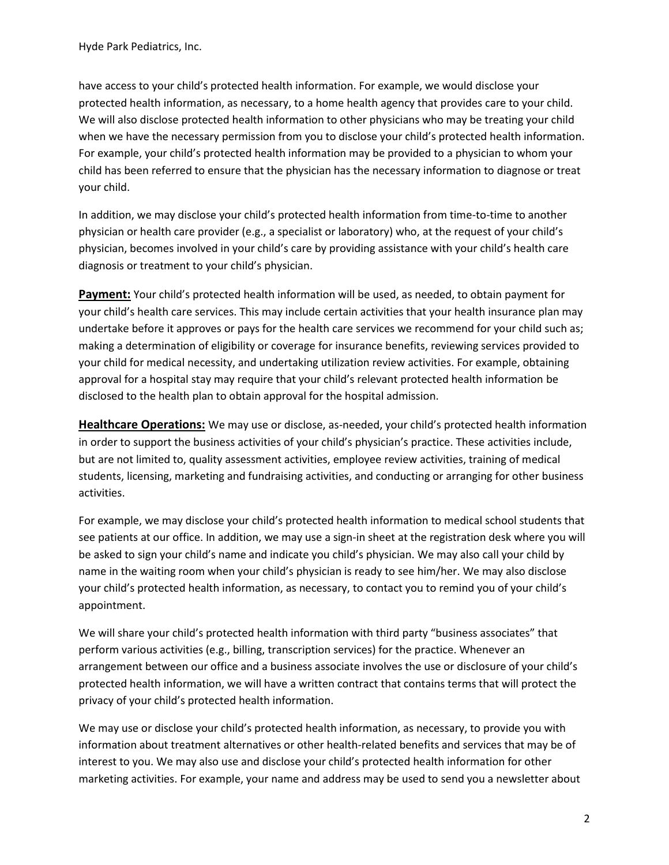have access to your child's protected health information. For example, we would disclose your protected health information, as necessary, to a home health agency that provides care to your child. We will also disclose protected health information to other physicians who may be treating your child when we have the necessary permission from you to disclose your child's protected health information. For example, your child's protected health information may be provided to a physician to whom your child has been referred to ensure that the physician has the necessary information to diagnose or treat your child.

In addition, we may disclose your child's protected health information from time-to-time to another physician or health care provider (e.g., a specialist or laboratory) who, at the request of your child's physician, becomes involved in your child's care by providing assistance with your child's health care diagnosis or treatment to your child's physician.

**Payment:** Your child's protected health information will be used, as needed, to obtain payment for your child's health care services. This may include certain activities that your health insurance plan may undertake before it approves or pays for the health care services we recommend for your child such as; making a determination of eligibility or coverage for insurance benefits, reviewing services provided to your child for medical necessity, and undertaking utilization review activities. For example, obtaining approval for a hospital stay may require that your child's relevant protected health information be disclosed to the health plan to obtain approval for the hospital admission.

**Healthcare Operations:** We may use or disclose, as-needed, your child's protected health information in order to support the business activities of your child's physician's practice. These activities include, but are not limited to, quality assessment activities, employee review activities, training of medical students, licensing, marketing and fundraising activities, and conducting or arranging for other business activities.

For example, we may disclose your child's protected health information to medical school students that see patients at our office. In addition, we may use a sign-in sheet at the registration desk where you will be asked to sign your child's name and indicate you child's physician. We may also call your child by name in the waiting room when your child's physician is ready to see him/her. We may also disclose your child's protected health information, as necessary, to contact you to remind you of your child's appointment.

We will share your child's protected health information with third party "business associates" that perform various activities (e.g., billing, transcription services) for the practice. Whenever an arrangement between our office and a business associate involves the use or disclosure of your child's protected health information, we will have a written contract that contains terms that will protect the privacy of your child's protected health information.

We may use or disclose your child's protected health information, as necessary, to provide you with information about treatment alternatives or other health-related benefits and services that may be of interest to you. We may also use and disclose your child's protected health information for other marketing activities. For example, your name and address may be used to send you a newsletter about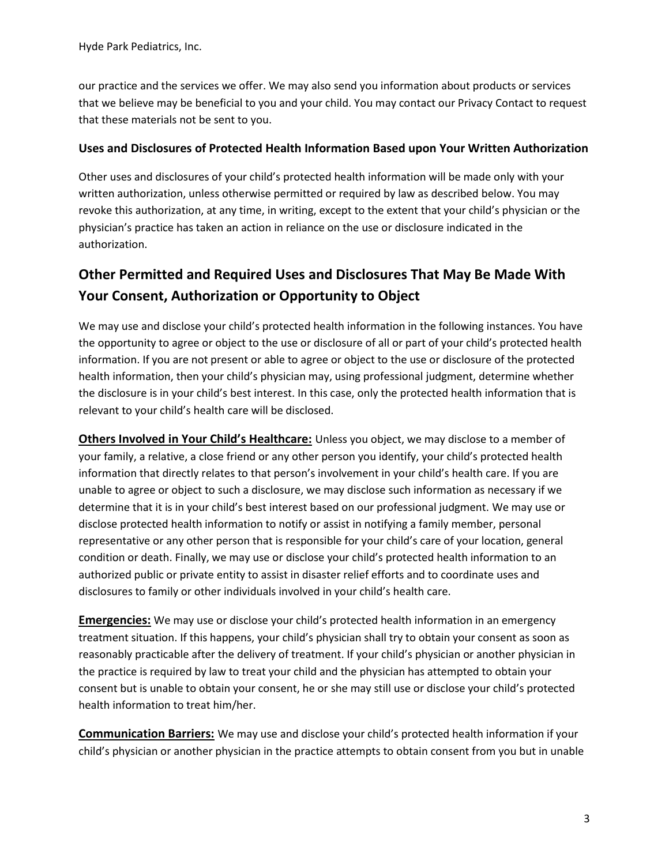our practice and the services we offer. We may also send you information about products or services that we believe may be beneficial to you and your child. You may contact our Privacy Contact to request that these materials not be sent to you.

### **Uses and Disclosures of Protected Health Information Based upon Your Written Authorization**

Other uses and disclosures of your child's protected health information will be made only with your written authorization, unless otherwise permitted or required by law as described below. You may revoke this authorization, at any time, in writing, except to the extent that your child's physician or the physician's practice has taken an action in reliance on the use or disclosure indicated in the authorization.

# **Other Permitted and Required Uses and Disclosures That May Be Made With Your Consent, Authorization or Opportunity to Object**

We may use and disclose your child's protected health information in the following instances. You have the opportunity to agree or object to the use or disclosure of all or part of your child's protected health information. If you are not present or able to agree or object to the use or disclosure of the protected health information, then your child's physician may, using professional judgment, determine whether the disclosure is in your child's best interest. In this case, only the protected health information that is relevant to your child's health care will be disclosed.

**Others Involved in Your Child's Healthcare:** Unless you object, we may disclose to a member of your family, a relative, a close friend or any other person you identify, your child's protected health information that directly relates to that person's involvement in your child's health care. If you are unable to agree or object to such a disclosure, we may disclose such information as necessary if we determine that it is in your child's best interest based on our professional judgment. We may use or disclose protected health information to notify or assist in notifying a family member, personal representative or any other person that is responsible for your child's care of your location, general condition or death. Finally, we may use or disclose your child's protected health information to an authorized public or private entity to assist in disaster relief efforts and to coordinate uses and disclosures to family or other individuals involved in your child's health care.

**Emergencies:** We may use or disclose your child's protected health information in an emergency treatment situation. If this happens, your child's physician shall try to obtain your consent as soon as reasonably practicable after the delivery of treatment. If your child's physician or another physician in the practice is required by law to treat your child and the physician has attempted to obtain your consent but is unable to obtain your consent, he or she may still use or disclose your child's protected health information to treat him/her.

**Communication Barriers:** We may use and disclose your child's protected health information if your child's physician or another physician in the practice attempts to obtain consent from you but in unable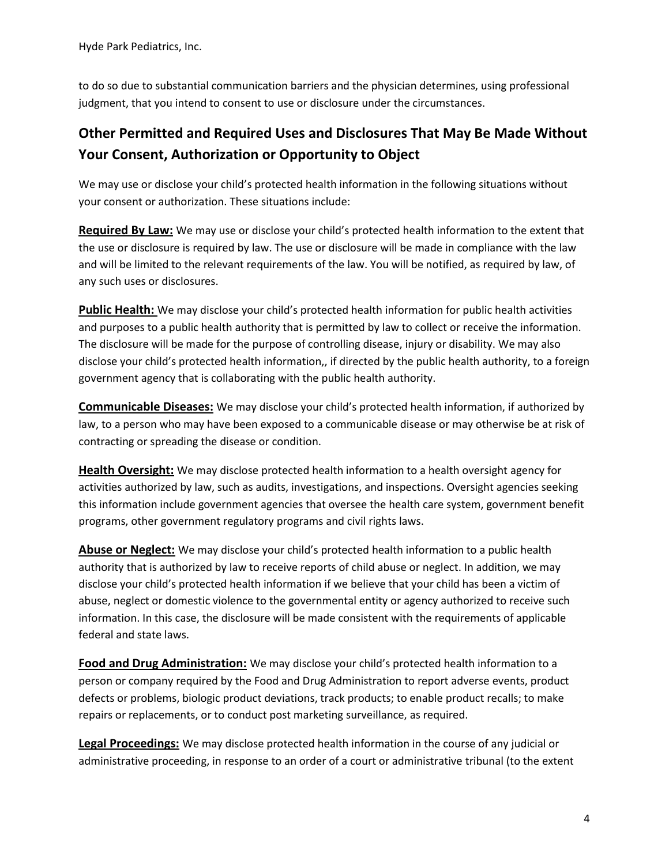to do so due to substantial communication barriers and the physician determines, using professional judgment, that you intend to consent to use or disclosure under the circumstances.

# **Other Permitted and Required Uses and Disclosures That May Be Made Without Your Consent, Authorization or Opportunity to Object**

We may use or disclose your child's protected health information in the following situations without your consent or authorization. These situations include:

**Required By Law:** We may use or disclose your child's protected health information to the extent that the use or disclosure is required by law. The use or disclosure will be made in compliance with the law and will be limited to the relevant requirements of the law. You will be notified, as required by law, of any such uses or disclosures.

**Public Health:** We may disclose your child's protected health information for public health activities and purposes to a public health authority that is permitted by law to collect or receive the information. The disclosure will be made for the purpose of controlling disease, injury or disability. We may also disclose your child's protected health information,, if directed by the public health authority, to a foreign government agency that is collaborating with the public health authority.

**Communicable Diseases:** We may disclose your child's protected health information, if authorized by law, to a person who may have been exposed to a communicable disease or may otherwise be at risk of contracting or spreading the disease or condition.

**Health Oversight:** We may disclose protected health information to a health oversight agency for activities authorized by law, such as audits, investigations, and inspections. Oversight agencies seeking this information include government agencies that oversee the health care system, government benefit programs, other government regulatory programs and civil rights laws.

**Abuse or Neglect:** We may disclose your child's protected health information to a public health authority that is authorized by law to receive reports of child abuse or neglect. In addition, we may disclose your child's protected health information if we believe that your child has been a victim of abuse, neglect or domestic violence to the governmental entity or agency authorized to receive such information. In this case, the disclosure will be made consistent with the requirements of applicable federal and state laws.

**Food and Drug Administration:** We may disclose your child's protected health information to a person or company required by the Food and Drug Administration to report adverse events, product defects or problems, biologic product deviations, track products; to enable product recalls; to make repairs or replacements, or to conduct post marketing surveillance, as required.

**Legal Proceedings:** We may disclose protected health information in the course of any judicial or administrative proceeding, in response to an order of a court or administrative tribunal (to the extent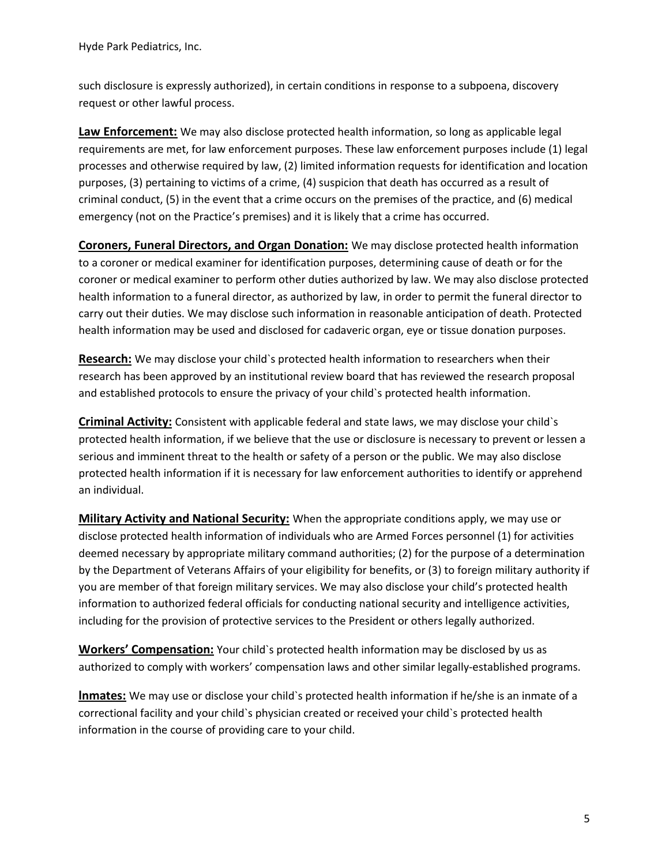such disclosure is expressly authorized), in certain conditions in response to a subpoena, discovery request or other lawful process.

**Law Enforcement:** We may also disclose protected health information, so long as applicable legal requirements are met, for law enforcement purposes. These law enforcement purposes include (1) legal processes and otherwise required by law, (2) limited information requests for identification and location purposes, (3) pertaining to victims of a crime, (4) suspicion that death has occurred as a result of criminal conduct, (5) in the event that a crime occurs on the premises of the practice, and (6) medical emergency (not on the Practice's premises) and it is likely that a crime has occurred.

**Coroners, Funeral Directors, and Organ Donation:** We may disclose protected health information to a coroner or medical examiner for identification purposes, determining cause of death or for the coroner or medical examiner to perform other duties authorized by law. We may also disclose protected health information to a funeral director, as authorized by law, in order to permit the funeral director to carry out their duties. We may disclose such information in reasonable anticipation of death. Protected health information may be used and disclosed for cadaveric organ, eye or tissue donation purposes.

**Research:** We may disclose your child`s protected health information to researchers when their research has been approved by an institutional review board that has reviewed the research proposal and established protocols to ensure the privacy of your child`s protected health information.

**Criminal Activity:** Consistent with applicable federal and state laws, we may disclose your child`s protected health information, if we believe that the use or disclosure is necessary to prevent or lessen a serious and imminent threat to the health or safety of a person or the public. We may also disclose protected health information if it is necessary for law enforcement authorities to identify or apprehend an individual.

**Military Activity and National Security:** When the appropriate conditions apply, we may use or disclose protected health information of individuals who are Armed Forces personnel (1) for activities deemed necessary by appropriate military command authorities; (2) for the purpose of a determination by the Department of Veterans Affairs of your eligibility for benefits, or (3) to foreign military authority if you are member of that foreign military services. We may also disclose your child's protected health information to authorized federal officials for conducting national security and intelligence activities, including for the provision of protective services to the President or others legally authorized.

**Workers' Compensation:** Your child`s protected health information may be disclosed by us as authorized to comply with workers' compensation laws and other similar legally-established programs.

**lnmates:** We may use or disclose your child`s protected health information if he/she is an inmate of a correctional facility and your child`s physician created or received your child`s protected health information in the course of providing care to your child.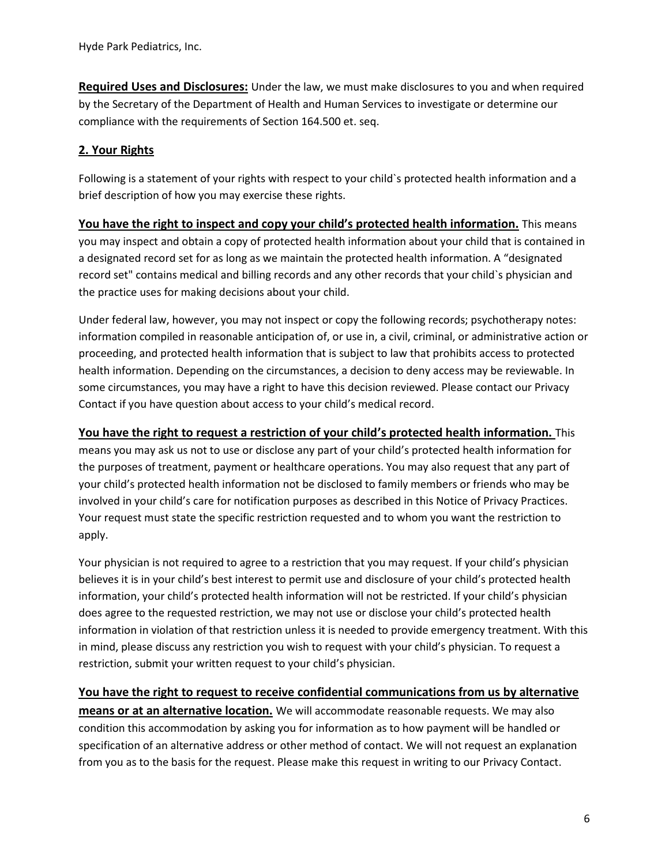**Required Uses and Disclosures:** Under the law, we must make disclosures to you and when required by the Secretary of the Department of Health and Human Services to investigate or determine our compliance with the requirements of Section 164.500 et. seq.

## **2. Your Rights**

Following is a statement of your rights with respect to your child`s protected health information and a brief description of how you may exercise these rights.

**You have the right to inspect and copy your child's protected health information.** This means you may inspect and obtain a copy of protected health information about your child that is contained in a designated record set for as long as we maintain the protected health information. A "designated record set" contains medical and billing records and any other records that your child`s physician and the practice uses for making decisions about your child.

Under federal law, however, you may not inspect or copy the following records; psychotherapy notes: information compiled in reasonable anticipation of, or use in, a civil, criminal, or administrative action or proceeding, and protected health information that is subject to law that prohibits access to protected health information. Depending on the circumstances, a decision to deny access may be reviewable. In some circumstances, you may have a right to have this decision reviewed. Please contact our Privacy Contact if you have question about access to your child's medical record.

**You have the right to request a restriction of your child's protected health information.** This means you may ask us not to use or disclose any part of your child's protected health information for the purposes of treatment, payment or healthcare operations. You may also request that any part of your child's protected health information not be disclosed to family members or friends who may be involved in your child's care for notification purposes as described in this Notice of Privacy Practices. Your request must state the specific restriction requested and to whom you want the restriction to apply.

Your physician is not required to agree to a restriction that you may request. If your child's physician believes it is in your child's best interest to permit use and disclosure of your child's protected health information, your child's protected health information will not be restricted. If your child's physician does agree to the requested restriction, we may not use or disclose your child's protected health information in violation of that restriction unless it is needed to provide emergency treatment. With this in mind, please discuss any restriction you wish to request with your child's physician. To request a restriction, submit your written request to your child's physician.

### **You have the right to request to receive confidential communications from us by alternative**

**means or at an alternative location.** We will accommodate reasonable requests. We may also condition this accommodation by asking you for information as to how payment will be handled or specification of an alternative address or other method of contact. We will not request an explanation from you as to the basis for the request. Please make this request in writing to our Privacy Contact.